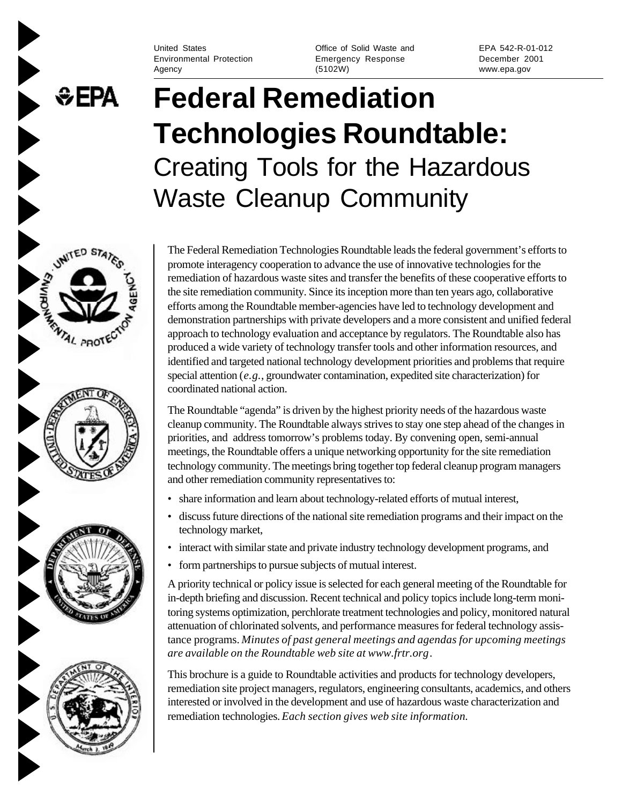Environmental Protection Emergency Response December 2001 Agency (5102W) www.epa.gov

**&EPA** 

UNITED STA

**ANTAL PROTE** 

United States Office of Solid Waste and EPA 542-R-01-012

# **Federal Remediation Technologies Roundtable:** Creating Tools for the Hazardous Waste Cleanup Community

The Federal Remediation Technologies Roundtable leads the federal government's efforts to promote interagency cooperation to advance the use of innovative technologies for the remediation of hazardous waste sites and transfer the benefits of these cooperative efforts to the site remediation community. Since its inception more than ten years ago, collaborative efforts among the Roundtable member-agencies have led to technology development and demonstration partnerships with private developers and a more consistent and unified federal approach to technology evaluation and acceptance by regulators. The Roundtable also has produced a wide variety of technology transfer tools and other information resources, and identified and targeted national technology development priorities and problems that require special attention (*e.g.*, groundwater contamination, expedited site characterization) for coordinated national action.

The Roundtable "agenda" is driven by the highest priority needs of the hazardous waste cleanup community. The Roundtable always strives to stay one step ahead of the changes in priorities, and address tomorrow's problems today. By convening open, semi-annual meetings, the Roundtable offers a unique networking opportunity for the site remediation technology community. The meetings bring together top federal cleanup program managers and other remediation community representatives to:

- share information and learn about technology-related efforts of mutual interest,
- discuss future directions of the national site remediation programs and their impact on the technology market,
- interact with similar state and private industry technology development programs, and
- form partnerships to pursue subjects of mutual interest.

A priority technical or policy issue is selected for each general meeting of the Roundtable for in-depth briefing and discussion. Recent technical and policy topics include long-term monitoring systems optimization, perchlorate treatment technologies and policy, monitored natural attenuation of chlorinated solvents, and performance measures for federal technology assistance programs. *Minutes of past general meetings and agendas for upcoming meetings are available on the Roundtable web site at www.frtr.org*.

This brochure is a guide to Roundtable activities and products for technology developers, remediation site project managers, regulators, engineering consultants, academics, and others interested or involved in the development and use of hazardous waste characterization and remediation technologies. *Each section gives web site information.*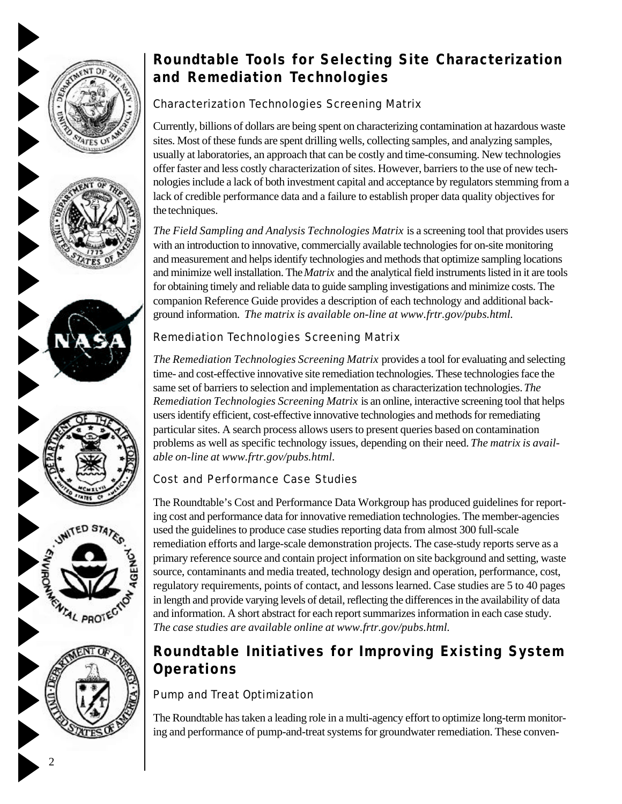











# **Roundtable Tools for Selecting Site Characterization and Remediation Technologies**

## Characterization Technologies Screening Matrix

Currently, billions of dollars are being spent on characterizing contamination at hazardous waste sites. Most of these funds are spent drilling wells, collecting samples, and analyzing samples, usually at laboratories, an approach that can be costly and time-consuming. New technologies offer faster and less costly characterization of sites. However, barriers to the use of new technologies include a lack of both investment capital and acceptance by regulators stemming from a lack of credible performance data and a failure to establish proper data quality objectives for the techniques.

*The Field Sampling and Analysis Technologies Matrix* is a screening tool that provides users with an introduction to innovative, commercially available technologies for on-site monitoring and measurement and helps identify technologies and methods that optimize sampling locations and minimize well installation. The *Matrix* and the analytical field instruments listed in it are tools for obtaining timely and reliable data to guide sampling investigations and minimize costs. The companion Reference Guide provides a description of each technology and additional background information. *The matrix is available on-line at www.frtr.gov/pubs.html.*

## Remediation Technologies Screening Matrix

*The Remediation Technologies Screening Matrix* provides a tool for evaluating and selecting time- and cost-effective innovative site remediation technologies. These technologies face the same set of barriers to selection and implementation as characterization technologies. *The Remediation Technologies Screening Matrix* is an online, interactive screening tool that helps users identify efficient, cost-effective innovative technologies and methods for remediating particular sites. A search process allows users to present queries based on contamination problems as well as specific technology issues, depending on their need. *The matrix is available on-line at www.frtr.gov/pubs.html.*

### Cost and Performance Case Studies

The Roundtable's Cost and Performance Data Workgroup has produced guidelines for reporting cost and performance data for innovative remediation technologies. The member-agencies used the guidelines to produce case studies reporting data from almost 300 full-scale remediation efforts and large-scale demonstration projects. The case-study reports serve as a primary reference source and contain project information on site background and setting, waste source, contaminants and media treated, technology design and operation, performance, cost, regulatory requirements, points of contact, and lessons learned. Case studies are 5 to 40 pages in length and provide varying levels of detail, reflecting the differences in the availability of data and information. A short abstract for each report summarizes information in each case study. *The case studies are available online at www.frtr.gov/pubs.html.*

# **Roundtable Initiatives for Improving Existing System Operations**

### Pump and Treat Optimization

The Roundtable has taken a leading role in a multi-agency effort to optimize long-term monitoring and performance of pump-and-treat systems for groundwater remediation. These conven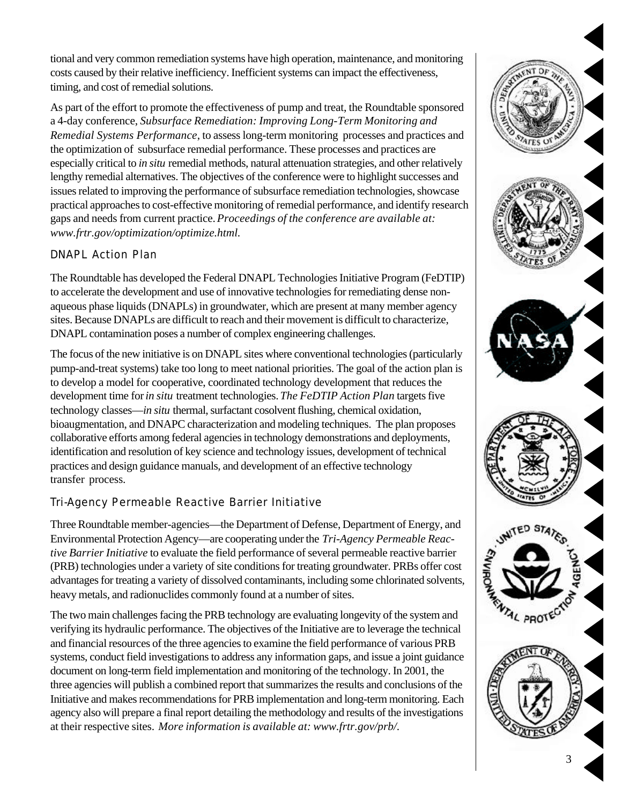tional and very common remediation systems have high operation, maintenance, and monitoring costs caused by their relative inefficiency. Inefficient systems can impact the effectiveness, timing, and cost of remedial solutions.

As part of the effort to promote the effectiveness of pump and treat, the Roundtable sponsored a 4-day conference, *Subsurface Remediation: Improving Long-Term Monitoring and Remedial Systems Performance*, to assess long-term monitoring processes and practices and the optimization of subsurface remedial performance. These processes and practices are especially critical to *in situ* remedial methods, natural attenuation strategies, and other relatively lengthy remedial alternatives. The objectives of the conference were to highlight successes and issues related to improving the performance of subsurface remediation technologies, showcase practical approaches to cost-effective monitoring of remedial performance, and identify research gaps and needs from current practice. *Proceedings of the conference are available at: www.frtr.gov/optimization/optimize.html.*

#### DNAPL Action Plan

The Roundtable has developed the Federal DNAPL Technologies Initiative Program (FeDTIP) to accelerate the development and use of innovative technologies for remediating dense nonaqueous phase liquids (DNAPLs) in groundwater, which are present at many member agency sites. Because DNAPLs are difficult to reach and their movement is difficult to characterize, DNAPL contamination poses a number of complex engineering challenges.

The focus of the new initiative is on DNAPL sites where conventional technologies (particularly pump-and-treat systems) take too long to meet national priorities. The goal of the action plan is to develop a model for cooperative, coordinated technology development that reduces the development time for *in situ* treatment technologies. *The FeDTIP Action Plan* targets five technology classes—*in situ* thermal, surfactant cosolvent flushing, chemical oxidation, bioaugmentation, and DNAPC characterization and modeling techniques. The plan proposes collaborative efforts among federal agencies in technology demonstrations and deployments, identification and resolution of key science and technology issues, development of technical practices and design guidance manuals, and development of an effective technology transfer process.

#### Tri-Agency Permeable Reactive Barrier Initiative

Three Roundtable member-agencies—the Department of Defense, Department of Energy, and Environmental Protection Agency—are cooperating under the *Tri-Agency Permeable Reactive Barrier Initiative* to evaluate the field performance of several permeable reactive barrier (PRB) technologies under a variety of site conditions for treating groundwater. PRBs offer cost advantages for treating a variety of dissolved contaminants, including some chlorinated solvents, heavy metals, and radionuclides commonly found at a number of sites.

The two main challenges facing the PRB technology are evaluating longevity of the system and verifying its hydraulic performance. The objectives of the Initiative are to leverage the technical and financial resources of the three agencies to examine the field performance of various PRB systems, conduct field investigations to address any information gaps, and issue a joint guidance document on long-term field implementation and monitoring of the technology. In 2001, the three agencies will publish a combined report that summarizes the results and conclusions of the Initiative and makes recommendations for PRB implementation and long-term monitoring. Each agency also will prepare a final report detailing the methodology and results of the investigations at their respective sites. *More information is available at: www.frtr.gov/prb/.*